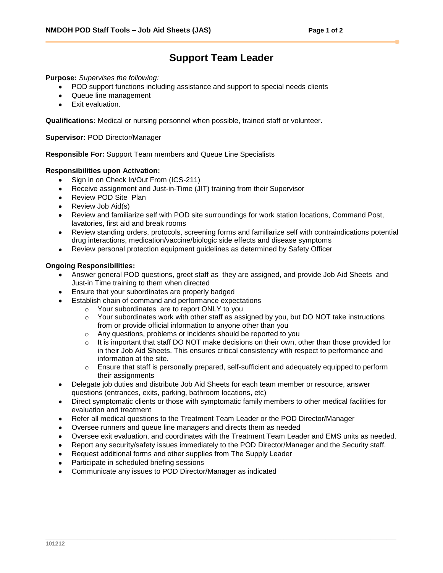## **Support Team Leader**

**Purpose:** *Supervises the following:*

- POD support functions including assistance and support to special needs clients
- Queue line management
- Exit evaluation.

**Qualifications:** Medical or nursing personnel when possible, trained staff or volunteer.

**Supervisor:** POD Director/Manager

**Responsible For:** Support Team members and Queue Line Specialists

## **Responsibilities upon Activation:**

- Sign in on Check In/Out From (ICS-211)  $\bullet$
- Receive assignment and Just-in-Time (JIT) training from their Supervisor  $\bullet$
- Review POD Site Plan
- Review Job Aid(s)
- Review and familiarize self with POD site surroundings for work station locations, Command Post, lavatories, first aid and break rooms
- Review standing orders, protocols, screening forms and familiarize self with contraindications potential drug interactions, medication/vaccine/biologic side effects and disease symptoms
- Review personal protection equipment guidelines as determined by Safety Officer

## **Ongoing Responsibilities:**

- Answer general POD questions, greet staff as they are assigned, and provide Job Aid Sheets and Just-in Time training to them when directed
- Ensure that your subordinates are properly badged
- Establish chain of command and performance expectations
	- o Your subordinates are to report ONLY to you
	- $\circ$  Your subordinates work with other staff as assigned by you, but DO NOT take instructions from or provide official information to anyone other than you
	- o Any questions, problems or incidents should be reported to you
	- $\circ$  It is important that staff DO NOT make decisions on their own, other than those provided for in their Job Aid Sheets. This ensures critical consistency with respect to performance and information at the site.
	- $\circ$  Ensure that staff is personally prepared, self-sufficient and adequately equipped to perform their assignments
- Delegate job duties and distribute Job Aid Sheets for each team member or resource, answer questions (entrances, exits, parking, bathroom locations, etc)
- Direct symptomatic clients or those with symptomatic family members to other medical facilities for evaluation and treatment
- Refer all medical questions to the Treatment Team Leader or the POD Director/Manager  $\bullet$
- Oversee runners and queue line managers and directs them as needed
- Oversee exit evaluation, and coordinates with the Treatment Team Leader and EMS units as needed.
- Report any security/safety issues immediately to the POD Director/Manager and the Security staff.
- Request additional forms and other supplies from The Supply Leader
- Participate in scheduled briefing sessions
- Communicate any issues to POD Director/Manager as indicated